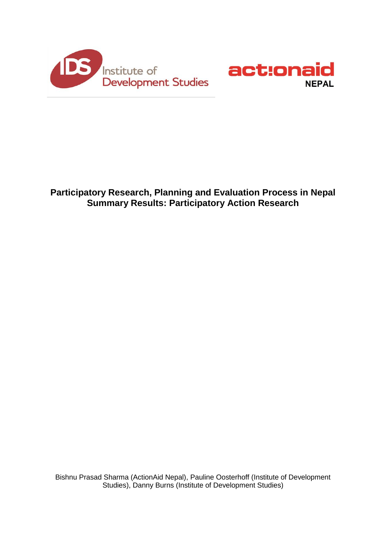



# **Participatory Research, Planning and Evaluation Process in Nepal Summary Results: Participatory Action Research**

Bishnu Prasad Sharma (ActionAid Nepal), Pauline Oosterhoff (Institute of Development Studies), Danny Burns (Institute of Development Studies)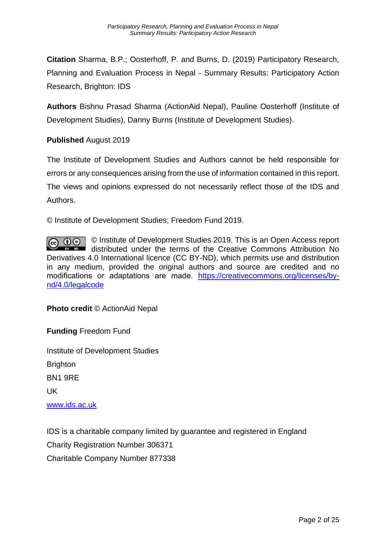**Citation** Sharma, B.P.; Oosterhoff, P. and Burns, D. (2019) Participatory Research, Planning and Evaluation Process in Nepal - Summary Results: Participatory Action Research, Brighton: IDS

**Authors** Bishnu Prasad Sharma (ActionAid Nepal), Pauline Oosterhoff (Institute of Development Studies), Danny Burns (Institute of Development Studies).

## **Published** August 2019

The Institute of Development Studies and Authors cannot be held responsible for errors or any consequences arising from the use of information contained in this report. The views and opinions expressed do not necessarily reflect those of the IDS and Authors.

© Institute of Development Studies; Freedom Fund 2019.

© Institute of Development Studies 2019. This is an Open Access report  $\boxed{6}$  0  $\Theta$ distributed under the terms of the Creative Commons Attribution No Derivatives 4.0 International licence (CC BY-ND), which permits use and distribution in any medium, provided the original authors and source are credited and no modifications or adaptations are made. [https://creativecommons.org/licenses/by](https://creativecommons.org/licenses/by-nd/4.0/legalcode)[nd/4.0/legalcode](https://creativecommons.org/licenses/by-nd/4.0/legalcode)

## **Photo credit** © ActionAid Nepal

**Funding** Freedom Fund

Institute of Development Studies Brighton BN1 9RE UK [www.ids.ac.uk](http://www.ids.ac.uk/)

IDS is a charitable company limited by guarantee and registered in England Charity Registration Number 306371 Charitable Company Number 877338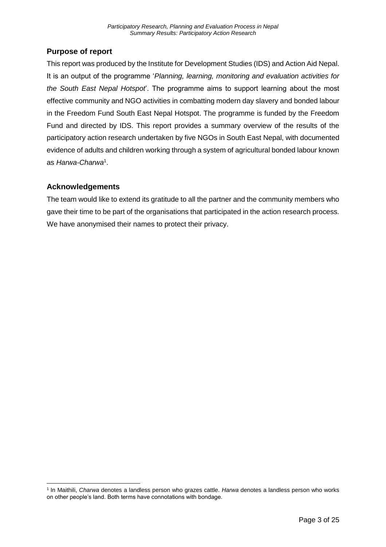## <span id="page-2-0"></span>**Purpose of report**

This report was produced by the Institute for Development Studies (IDS) and Action Aid Nepal. It is an output of the programme '*Planning, learning, monitoring and evaluation activities for the South East Nepal Hotspot*'. The programme aims to support learning about the most effective community and NGO activities in combatting modern day slavery and bonded labour in the Freedom Fund South East Nepal Hotspot. The programme is funded by the Freedom Fund and directed by IDS. This report provides a summary overview of the results of the participatory action research undertaken by five NGOs in South East Nepal, with documented evidence of adults and children working through a system of agricultural bonded labour known as *Harwa-Charwa*<sup>1</sup> .

## <span id="page-2-1"></span>**Acknowledgements**

 $\overline{\phantom{a}}$ 

The team would like to extend its gratitude to all the partner and the community members who gave their time to be part of the organisations that participated in the action research process. We have anonymised their names to protect their privacy.

<sup>1</sup> In Maithili, *Charwa* denotes a landless person who grazes cattle. *Harwa* denotes a landless person who works on other people's land. Both terms have connotations with bondage.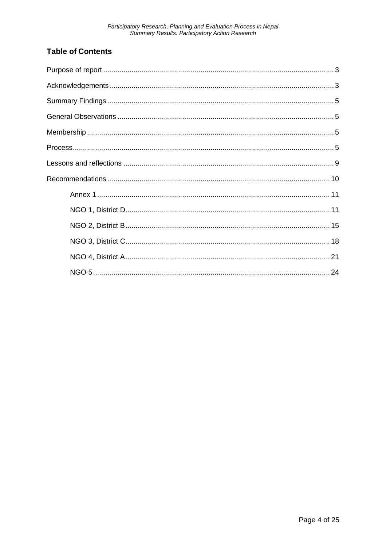# **Table of Contents**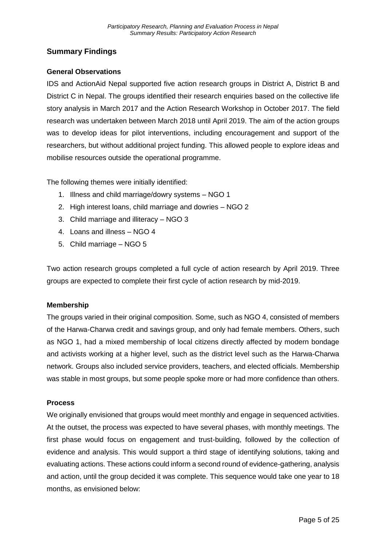## <span id="page-4-0"></span>**Summary Findings**

#### <span id="page-4-1"></span>**General Observations**

IDS and ActionAid Nepal supported five action research groups in District A, District B and District C in Nepal. The groups identified their research enquiries based on the collective life story analysis in March 2017 and the Action Research Workshop in October 2017. The field research was undertaken between March 2018 until April 2019. The aim of the action groups was to develop ideas for pilot interventions, including encouragement and support of the researchers, but without additional project funding. This allowed people to explore ideas and mobilise resources outside the operational programme.

The following themes were initially identified:

- 1. Illness and child marriage/dowry systems NGO 1
- 2. High interest loans, child marriage and dowries NGO 2
- 3. Child marriage and illiteracy NGO 3
- 4. Loans and illness NGO 4
- 5. Child marriage NGO 5

Two action research groups completed a full cycle of action research by April 2019. Three groups are expected to complete their first cycle of action research by mid-2019.

#### <span id="page-4-2"></span>**Membership**

The groups varied in their original composition. Some, such as NGO 4, consisted of members of the Harwa-Charwa credit and savings group, and only had female members. Others, such as NGO 1, had a mixed membership of local citizens directly affected by modern bondage and activists working at a higher level, such as the district level such as the Harwa-Charwa network. Groups also included service providers, teachers, and elected officials. Membership was stable in most groups, but some people spoke more or had more confidence than others.

#### <span id="page-4-3"></span>**Process**

We originally envisioned that groups would meet monthly and engage in sequenced activities. At the outset, the process was expected to have several phases, with monthly meetings. The first phase would focus on engagement and trust-building, followed by the collection of evidence and analysis. This would support a third stage of identifying solutions, taking and evaluating actions. These actions could inform a second round of evidence-gathering, analysis and action, until the group decided it was complete. This sequence would take one year to 18 months, as envisioned below: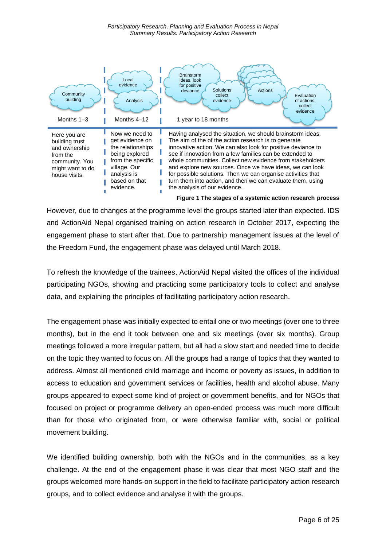

However, due to changes at the programme level the groups started later than expected. IDS and ActionAid Nepal organised training on action research in October 2017, expecting the engagement phase to start after that. Due to partnership management issues at the level of the Freedom Fund, the engagement phase was delayed until March 2018.

To refresh the knowledge of the trainees, ActionAid Nepal visited the offices of the individual participating NGOs, showing and practicing some participatory tools to collect and analyse data, and explaining the principles of facilitating participatory action research.

The engagement phase was initially expected to entail one or two meetings (over one to three months), but in the end it took between one and six meetings (over six months). Group meetings followed a more irregular pattern, but all had a slow start and needed time to decide on the topic they wanted to focus on. All the groups had a range of topics that they wanted to address. Almost all mentioned child marriage and income or poverty as issues, in addition to access to education and government services or facilities, health and alcohol abuse. Many groups appeared to expect some kind of project or government benefits, and for NGOs that focused on project or programme delivery an open-ended process was much more difficult than for those who originated from, or were otherwise familiar with, social or political movement building.

We identified building ownership, both with the NGOs and in the communities, as a key challenge. At the end of the engagement phase it was clear that most NGO staff and the groups welcomed more hands-on support in the field to facilitate participatory action research groups, and to collect evidence and analyse it with the groups.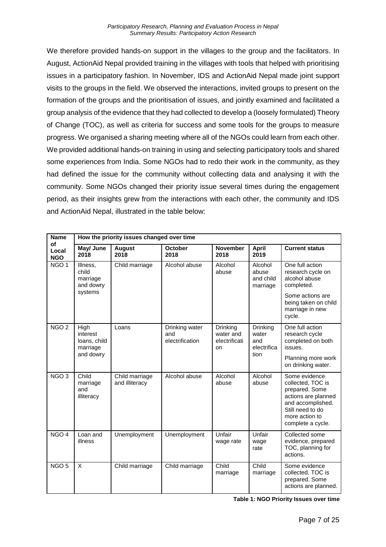We therefore provided hands-on support in the villages to the group and the facilitators. In August, ActionAid Nepal provided training in the villages with tools that helped with prioritising issues in a participatory fashion. In November, IDS and ActionAid Nepal made joint support visits to the groups in the field. We observed the interactions, invited groups to present on the formation of the groups and the prioritisation of issues, and jointly examined and facilitated a group analysis of the evidence that they had collected to develop a (loosely formulated) Theory of Change (TOC), as well as criteria for success and some tools for the groups to measure progress. We organised a sharing meeting where all of the NGOs could learn from each other. We provided additional hands-on training in using and selecting participatory tools and shared some experiences from India. Some NGOs had to redo their work in the community, as they had defined the issue for the community without collecting data and analysing it with the community. Some NGOs changed their priority issue several times during the engagement period, as their insights grew from the interactions with each other, the community and IDS and ActionAid Nepal, illustrated in the table below:

| <b>Name</b>               | How the priority issues changed over time                 |                                  |                                          |                                                     |                                                 |                                                                                                                                                             |  |
|---------------------------|-----------------------------------------------------------|----------------------------------|------------------------------------------|-----------------------------------------------------|-------------------------------------------------|-------------------------------------------------------------------------------------------------------------------------------------------------------------|--|
| of<br>Local<br><b>NGO</b> | May/ June<br>2018                                         | <b>August</b><br>2018            | <b>October</b><br>2018                   | <b>November</b><br>2018                             | April<br>2019                                   | <b>Current status</b>                                                                                                                                       |  |
| NGO <sub>1</sub>          | Illness,<br>child<br>marriage<br>and dowry<br>systems     | Child marriage                   | Alcohol abuse                            | Alcohol<br>abuse                                    | Alcohol<br>abuse<br>and child<br>marriage       | One full action<br>research cycle on<br>alcohol abuse<br>completed.                                                                                         |  |
|                           |                                                           |                                  |                                          |                                                     |                                                 | Some actions are<br>being taken on child<br>marriage in new<br>cycle.                                                                                       |  |
| NGO <sub>2</sub>          | High<br>interest<br>loans, child<br>marriage<br>and dowry | Loans                            | Drinking water<br>and<br>electrification | <b>Drinking</b><br>water and<br>electrificati<br>on | Drinking<br>water<br>and<br>electrifica<br>tion | One full action<br>research cycle<br>completed on both<br>issues.<br>Planning more work<br>on drinking water.                                               |  |
| NGO <sub>3</sub>          | Child<br>marriage<br>and<br>illiteracy                    | Child marriage<br>and illiteracy | Alcohol abuse                            | Alcohol<br>abuse                                    | Alcohol<br>abuse                                | Some evidence<br>collected, TOC is<br>prepared. Some<br>actions are planned<br>and accomplished.<br>Still need to do<br>more action to<br>complete a cycle. |  |
| NGO <sub>4</sub>          | Loan and<br>illness                                       | Unemployment                     | Unemployment                             | Unfair<br>wage rate                                 | Unfair<br>wage<br>rate                          | Collected some<br>evidence, prepared<br>TOC, planning for<br>actions.                                                                                       |  |
| NGO <sub>5</sub>          | X                                                         | Child marriage                   | Child marriage                           | Child<br>marriage                                   | Child<br>marriage                               | Some evidence<br>collected, TOC is<br>prepared. Some<br>actions are planned.                                                                                |  |

**Table 1: NGO Priority Issues over time**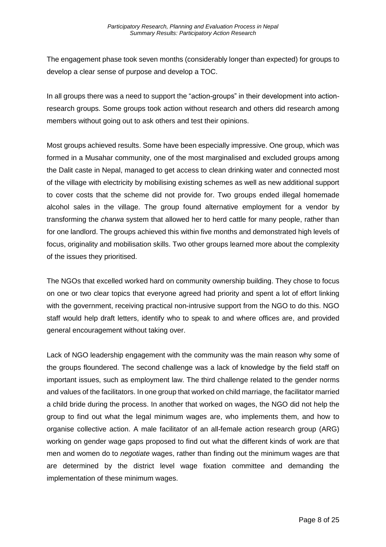The engagement phase took seven months (considerably longer than expected) for groups to develop a clear sense of purpose and develop a TOC.

In all groups there was a need to support the "action-groups" in their development into actionresearch groups. Some groups took action without research and others did research among members without going out to ask others and test their opinions.

Most groups achieved results. Some have been especially impressive. One group, which was formed in a Musahar community, one of the most marginalised and excluded groups among the Dalit caste in Nepal, managed to get access to clean drinking water and connected most of the village with electricity by mobilising existing schemes as well as new additional support to cover costs that the scheme did not provide for. Two groups ended illegal homemade alcohol sales in the village. The group found alternative employment for a vendor by transforming the *charwa* system that allowed her to herd cattle for many people, rather than for one landlord. The groups achieved this within five months and demonstrated high levels of focus, originality and mobilisation skills. Two other groups learned more about the complexity of the issues they prioritised.

The NGOs that excelled worked hard on community ownership building. They chose to focus on one or two clear topics that everyone agreed had priority and spent a lot of effort linking with the government, receiving practical non-intrusive support from the NGO to do this. NGO staff would help draft letters, identify who to speak to and where offices are, and provided general encouragement without taking over.

Lack of NGO leadership engagement with the community was the main reason why some of the groups floundered. The second challenge was a lack of knowledge by the field staff on important issues, such as employment law. The third challenge related to the gender norms and values of the facilitators. In one group that worked on child marriage, the facilitator married a child bride during the process. In another that worked on wages, the NGO did not help the group to find out what the legal minimum wages are, who implements them, and how to organise collective action. A male facilitator of an all-female action research group (ARG) working on gender wage gaps proposed to find out what the different kinds of work are that men and women do to *negotiate* wages, rather than finding out the minimum wages are that are determined by the district level wage fixation committee and demanding the implementation of these minimum wages.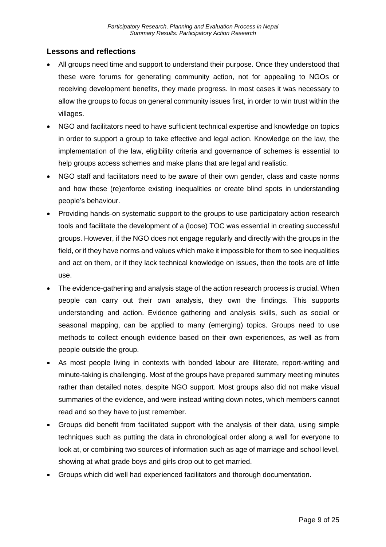## <span id="page-8-0"></span>**Lessons and reflections**

- All groups need time and support to understand their purpose. Once they understood that these were forums for generating community action, not for appealing to NGOs or receiving development benefits, they made progress. In most cases it was necessary to allow the groups to focus on general community issues first, in order to win trust within the villages.
- NGO and facilitators need to have sufficient technical expertise and knowledge on topics in order to support a group to take effective and legal action. Knowledge on the law, the implementation of the law, eligibility criteria and governance of schemes is essential to help groups access schemes and make plans that are legal and realistic.
- NGO staff and facilitators need to be aware of their own gender, class and caste norms and how these (re)enforce existing inequalities or create blind spots in understanding people's behaviour.
- Providing hands-on systematic support to the groups to use participatory action research tools and facilitate the development of a (loose) TOC was essential in creating successful groups. However, if the NGO does not engage regularly and directly with the groups in the field, or if they have norms and values which make it impossible for them to see inequalities and act on them, or if they lack technical knowledge on issues, then the tools are of little use.
- The evidence-gathering and analysis stage of the action research process is crucial. When people can carry out their own analysis, they own the findings. This supports understanding and action. Evidence gathering and analysis skills, such as social or seasonal mapping, can be applied to many (emerging) topics. Groups need to use methods to collect enough evidence based on their own experiences, as well as from people outside the group.
- As most people living in contexts with bonded labour are illiterate, report-writing and minute-taking is challenging. Most of the groups have prepared summary meeting minutes rather than detailed notes, despite NGO support. Most groups also did not make visual summaries of the evidence, and were instead writing down notes, which members cannot read and so they have to just remember.
- Groups did benefit from facilitated support with the analysis of their data, using simple techniques such as putting the data in chronological order along a wall for everyone to look at, or combining two sources of information such as age of marriage and school level, showing at what grade boys and girls drop out to get married.
- Groups which did well had experienced facilitators and thorough documentation.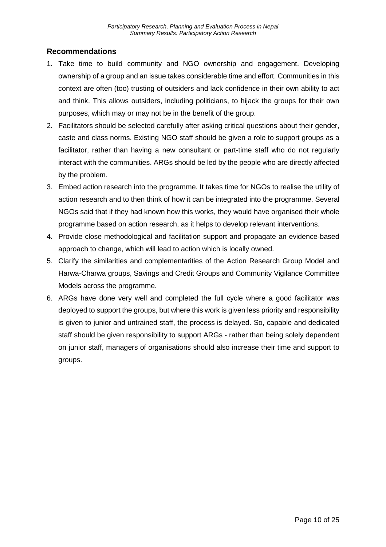## <span id="page-9-0"></span>**Recommendations**

- 1. Take time to build community and NGO ownership and engagement. Developing ownership of a group and an issue takes considerable time and effort. Communities in this context are often (too) trusting of outsiders and lack confidence in their own ability to act and think. This allows outsiders, including politicians, to hijack the groups for their own purposes, which may or may not be in the benefit of the group.
- 2. Facilitators should be selected carefully after asking critical questions about their gender, caste and class norms. Existing NGO staff should be given a role to support groups as a facilitator, rather than having a new consultant or part-time staff who do not regularly interact with the communities. ARGs should be led by the people who are directly affected by the problem.
- 3. Embed action research into the programme. It takes time for NGOs to realise the utility of action research and to then think of how it can be integrated into the programme. Several NGOs said that if they had known how this works, they would have organised their whole programme based on action research, as it helps to develop relevant interventions.
- 4. Provide close methodological and facilitation support and propagate an evidence-based approach to change, which will lead to action which is locally owned.
- 5. Clarify the similarities and complementarities of the Action Research Group Model and Harwa-Charwa groups, Savings and Credit Groups and Community Vigilance Committee Models across the programme.
- 6. ARGs have done very well and completed the full cycle where a good facilitator was deployed to support the groups, but where this work is given less priority and responsibility is given to junior and untrained staff, the process is delayed. So, capable and dedicated staff should be given responsibility to support ARGs - rather than being solely dependent on junior staff, managers of organisations should also increase their time and support to groups.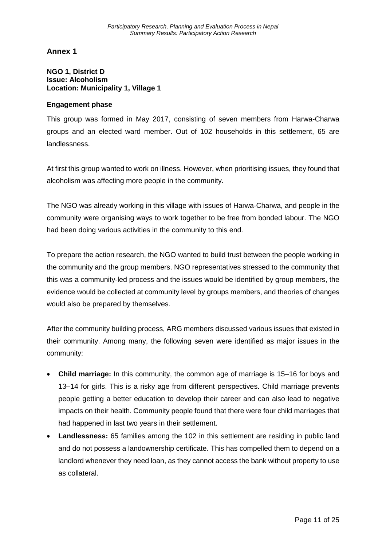<span id="page-10-0"></span>**Annex 1** 

#### <span id="page-10-1"></span>**NGO 1, District D Issue: Alcoholism Location: Municipality 1, Village 1**

#### **Engagement phase**

This group was formed in May 2017, consisting of seven members from Harwa-Charwa groups and an elected ward member. Out of 102 households in this settlement, 65 are landlessness.

At first this group wanted to work on illness. However, when prioritising issues, they found that alcoholism was affecting more people in the community.

The NGO was already working in this village with issues of Harwa-Charwa, and people in the community were organising ways to work together to be free from bonded labour. The NGO had been doing various activities in the community to this end.

To prepare the action research, the NGO wanted to build trust between the people working in the community and the group members. NGO representatives stressed to the community that this was a community-led process and the issues would be identified by group members, the evidence would be collected at community level by groups members, and theories of changes would also be prepared by themselves.

After the community building process, ARG members discussed various issues that existed in their community. Among many, the following seven were identified as major issues in the community:

- **Child marriage:** In this community, the common age of marriage is 15–16 for boys and 13–14 for girls. This is a risky age from different perspectives. Child marriage prevents people getting a better education to develop their career and can also lead to negative impacts on their health. Community people found that there were four child marriages that had happened in last two years in their settlement.
- **Landlessness:** 65 families among the 102 in this settlement are residing in public land and do not possess a landownership certificate. This has compelled them to depend on a landlord whenever they need loan, as they cannot access the bank without property to use as collateral.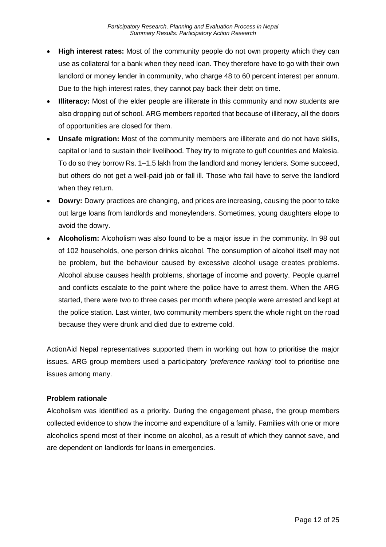- **High interest rates:** Most of the community people do not own property which they can use as collateral for a bank when they need loan. They therefore have to go with their own landlord or money lender in community, who charge 48 to 60 percent interest per annum. Due to the high interest rates, they cannot pay back their debt on time.
- **Illiteracy:** Most of the elder people are illiterate in this community and now students are also dropping out of school. ARG members reported that because of illiteracy, all the doors of opportunities are closed for them.
- **Unsafe migration:** Most of the community members are illiterate and do not have skills, capital or land to sustain their livelihood. They try to migrate to gulf countries and Malesia. To do so they borrow Rs. 1–1.5 lakh from the landlord and money lenders. Some succeed, but others do not get a well-paid job or fall ill. Those who fail have to serve the landlord when they return.
- **Dowry:** Dowry practices are changing, and prices are increasing, causing the poor to take out large loans from landlords and moneylenders. Sometimes, young daughters elope to avoid the dowry.
- **Alcoholism:** Alcoholism was also found to be a major issue in the community. In 98 out of 102 households, one person drinks alcohol. The consumption of alcohol itself may not be problem, but the behaviour caused by excessive alcohol usage creates problems. Alcohol abuse causes health problems, shortage of income and poverty. People quarrel and conflicts escalate to the point where the police have to arrest them. When the ARG started, there were two to three cases per month where people were arrested and kept at the police station. Last winter, two community members spent the whole night on the road because they were drunk and died due to extreme cold.

ActionAid Nepal representatives supported them in working out how to prioritise the major issues. ARG group members used a participatory *'preference ranking'* tool to prioritise one issues among many.

## **Problem rationale**

Alcoholism was identified as a priority. During the engagement phase, the group members collected evidence to show the income and expenditure of a family. Families with one or more alcoholics spend most of their income on alcohol, as a result of which they cannot save, and are dependent on landlords for loans in emergencies.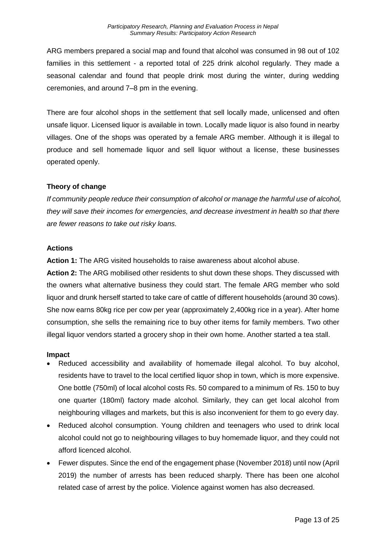ARG members prepared a social map and found that alcohol was consumed in 98 out of 102 families in this settlement - a reported total of 225 drink alcohol regularly. They made a seasonal calendar and found that people drink most during the winter, during wedding ceremonies, and around 7–8 pm in the evening.

There are four alcohol shops in the settlement that sell locally made, unlicensed and often unsafe liquor. Licensed liquor is available in town. Locally made liquor is also found in nearby villages. One of the shops was operated by a female ARG member. Although it is illegal to produce and sell homemade liquor and sell liquor without a license, these businesses operated openly.

#### **Theory of change**

*If community people reduce their consumption of alcohol or manage the harmful use of alcohol, they will save their incomes for emergencies, and decrease investment in health so that there are fewer reasons to take out risky loans.* 

#### **Actions**

**Action 1:** The ARG visited households to raise awareness about alcohol abuse.

**Action 2:** The ARG mobilised other residents to shut down these shops. They discussed with the owners what alternative business they could start. The female ARG member who sold liquor and drunk herself started to take care of cattle of different households (around 30 cows). She now earns 80kg rice per cow per year (approximately 2,400kg rice in a year). After home consumption, she sells the remaining rice to buy other items for family members. Two other illegal liquor vendors started a grocery shop in their own home. Another started a tea stall.

#### **Impact**

- Reduced accessibility and availability of homemade illegal alcohol. To buy alcohol, residents have to travel to the local certified liquor shop in town, which is more expensive. One bottle (750ml) of local alcohol costs Rs. 50 compared to a minimum of Rs. 150 to buy one quarter (180ml) factory made alcohol. Similarly, they can get local alcohol from neighbouring villages and markets, but this is also inconvenient for them to go every day.
- Reduced alcohol consumption. Young children and teenagers who used to drink local alcohol could not go to neighbouring villages to buy homemade liquor, and they could not afford licenced alcohol.
- Fewer disputes. Since the end of the engagement phase (November 2018) until now (April 2019) the number of arrests has been reduced sharply. There has been one alcohol related case of arrest by the police. Violence against women has also decreased.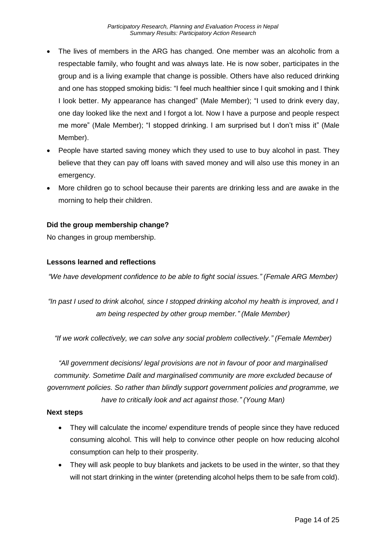- The lives of members in the ARG has changed. One member was an alcoholic from a respectable family, who fought and was always late. He is now sober, participates in the group and is a living example that change is possible. Others have also reduced drinking and one has stopped smoking bidis: "I feel much healthier since I quit smoking and I think I look better. My appearance has changed" (Male Member); "I used to drink every day, one day looked like the next and I forgot a lot. Now I have a purpose and people respect me more" (Male Member); "I stopped drinking. I am surprised but I don't miss it" (Male Member).
- People have started saving money which they used to use to buy alcohol in past. They believe that they can pay off loans with saved money and will also use this money in an emergency.
- More children go to school because their parents are drinking less and are awake in the morning to help their children.

#### **Did the group membership change?**

No changes in group membership.

#### **Lessons learned and reflections**

*"We have development confidence to be able to fight social issues." (Female ARG Member)*

*"In past I used to drink alcohol, since I stopped drinking alcohol my health is improved, and I am being respected by other group member." (Male Member)*

*"If we work collectively, we can solve any social problem collectively." (Female Member)*

*"All government decisions/ legal provisions are not in favour of poor and marginalised community. Sometime Dalit and marginalised community are more excluded because of government policies. So rather than blindly support government policies and programme, we have to critically look and act against those." (Young Man)*

#### **Next steps**

- They will calculate the income/ expenditure trends of people since they have reduced consuming alcohol. This will help to convince other people on how reducing alcohol consumption can help to their prosperity.
- They will ask people to buy blankets and jackets to be used in the winter, so that they will not start drinking in the winter (pretending alcohol helps them to be safe from cold).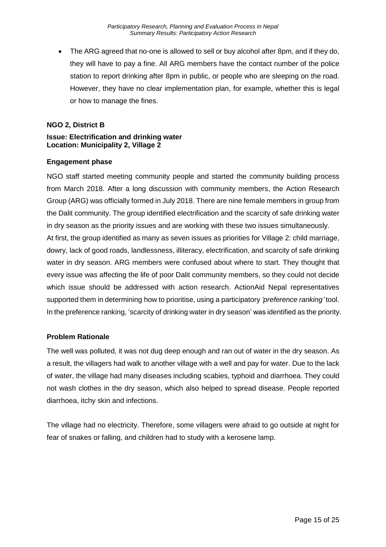• The ARG agreed that no-one is allowed to sell or buy alcohol after 8pm, and if they do, they will have to pay a fine. All ARG members have the contact number of the police station to report drinking after 8pm in public, or people who are sleeping on the road. However, they have no clear implementation plan, for example, whether this is legal or how to manage the fines.

#### <span id="page-14-0"></span>**NGO 2, District B**

#### **Issue: Electrification and drinking water Location: Municipality 2, Village 2**

#### **Engagement phase**

NGO staff started meeting community people and started the community building process from March 2018. After a long discussion with community members, the Action Research Group (ARG) was officially formed in July 2018. There are nine female members in group from the Dalit community. The group identified electrification and the scarcity of safe drinking water in dry season as the priority issues and are working with these two issues simultaneously.

At first, the group identified as many as seven issues as priorities for Village 2: child marriage, dowry, lack of good roads, landlessness, illiteracy, electrification, and scarcity of safe drinking water in dry season. ARG members were confused about where to start. They thought that every issue was affecting the life of poor Dalit community members, so they could not decide which issue should be addressed with action research. ActionAid Nepal representatives supported them in determining how to prioritise, using a participatory *'preference ranking'* tool. In the preference ranking, 'scarcity of drinking water in dry season' was identified as the priority.

#### **Problem Rationale**

The well was polluted, it was not dug deep enough and ran out of water in the dry season. As a result, the villagers had walk to another village with a well and pay for water. Due to the lack of water, the village had many diseases including scabies, typhoid and diarrhoea. They could not wash clothes in the dry season, which also helped to spread disease. People reported diarrhoea, itchy skin and infections.

The village had no electricity. Therefore, some villagers were afraid to go outside at night for fear of snakes or falling, and children had to study with a kerosene lamp.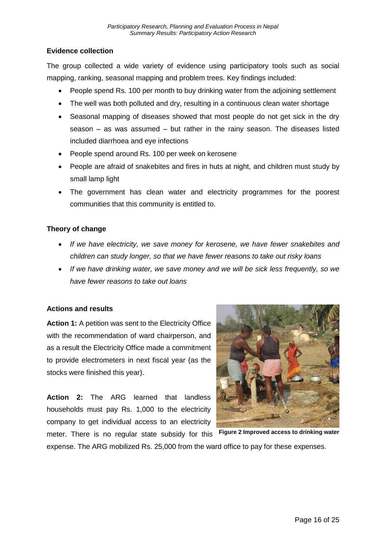## **Evidence collection**

The group collected a wide variety of evidence using participatory tools such as social mapping, ranking, seasonal mapping and problem trees. Key findings included:

- People spend Rs. 100 per month to buy drinking water from the adjoining settlement
- The well was both polluted and dry, resulting in a continuous clean water shortage
- Seasonal mapping of diseases showed that most people do not get sick in the dry season – as was assumed – but rather in the rainy season. The diseases listed included diarrhoea and eye infections
- People spend around Rs. 100 per week on kerosene
- People are afraid of snakebites and fires in huts at night, and children must study by small lamp light
- The government has clean water and electricity programmes for the poorest communities that this community is entitled to.

#### **Theory of change**

- *If we have electricity, we save money for kerosene, we have fewer snakebites and children can study longer, so that we have fewer reasons to take out risky loans*
- *If we have drinking water, we save money and we will be sick less frequently, so we have fewer reasons to take out loans*

#### **Actions and results**

**Action 1:** A petition was sent to the Electricity Office with the recommendation of ward chairperson, and as a result the Electricity Office made a commitment to provide electrometers in next fiscal year (as the stocks were finished this year).

**Action 2:** The ARG learned that landless households must pay Rs. 1,000 to the electricity company to get individual access to an electricity



meter. There is no regular state subsidy for this expense. The ARG mobilized Rs. 25,000 from the ward office to pay for these expenses. **Figure 2 Improved access to drinking water**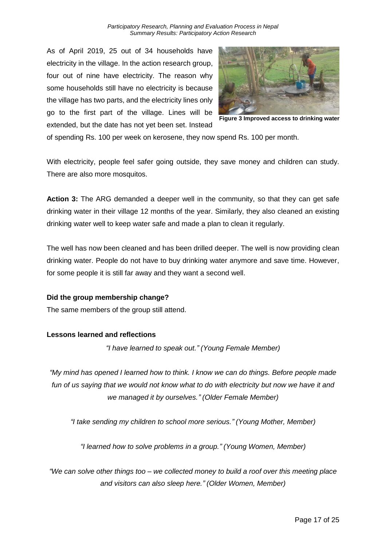*Participatory Research, Planning and Evaluation Process in Nepal Summary Results: Participatory Action Research*

As of April 2019, 25 out of 34 households have electricity in the village. In the action research group, four out of nine have electricity. The reason why some households still have no electricity is because the village has two parts, and the electricity lines only go to the first part of the village. Lines will be extended, but the date has not yet been set. Instead



**Figure 3 Improved access to drinking water**

of spending Rs. 100 per week on kerosene, they now spend Rs. 100 per month.

With electricity, people feel safer going outside, they save money and children can study. There are also more mosquitos.

**Action 3:** The ARG demanded a deeper well in the community, so that they can get safe drinking water in their village 12 months of the year. Similarly, they also cleaned an existing drinking water well to keep water safe and made a plan to clean it regularly.

The well has now been cleaned and has been drilled deeper. The well is now providing clean drinking water. People do not have to buy drinking water anymore and save time. However, for some people it is still far away and they want a second well.

#### **Did the group membership change?**

The same members of the group still attend.

#### **Lessons learned and reflections**

*"I have learned to speak out." (Young Female Member)*

*"My mind has opened I learned how to think. I know we can do things. Before people made fun of us saying that we would not know what to do with electricity but now we have it and we managed it by ourselves." (Older Female Member)*

*"I take sending my children to school more serious." (Young Mother, Member)*

*"I learned how to solve problems in a group." (Young Women, Member)*

*"We can solve other things too – we collected money to build a roof over this meeting place and visitors can also sleep here." (Older Women, Member)*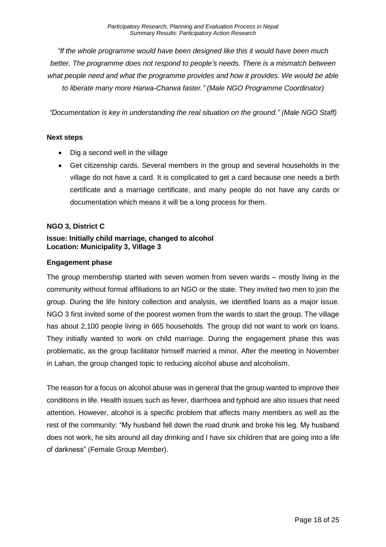*"If the whole programme would have been designed like this it would have been much better. The programme does not respond to people's needs. There is a mismatch between what people need and what the programme provides and how it provides. We would be able to liberate many more Harwa-Charwa faster." (Male NGO Programme Coordinator)*

*"Documentation is key in understanding the real situation on the ground." (Male NGO Staff)*

#### **Next steps**

- Dig a second well in the village
- Get citizenship cards. Several members in the group and several households in the village do not have a card. It is complicated to get a card because one needs a birth certificate and a marriage certificate, and many people do not have any cards or documentation which means it will be a long process for them.

#### <span id="page-17-0"></span>**NGO 3, District C**

#### **Issue: Initially child marriage, changed to alcohol Location: Municipality 3, Village 3**

#### **Engagement phase**

The group membership started with seven women from seven wards – mostly living in the community without formal affiliations to an NGO or the state. They invited two men to join the group. During the life history collection and analysis, we identified loans as a major issue. NGO 3 first invited some of the poorest women from the wards to start the group. The village has about 2,100 people living in 665 households. The group did not want to work on loans. They initially wanted to work on child marriage. During the engagement phase this was problematic, as the group facilitator himself married a minor. After the meeting in November in Lahan, the group changed topic to reducing alcohol abuse and alcoholism.

The reason for a focus on alcohol abuse was in general that the group wanted to improve their conditions in life. Health issues such as fever, diarrhoea and typhoid are also issues that need attention. However, alcohol is a specific problem that affects many members as well as the rest of the community: "My husband fell down the road drunk and broke his leg. My husband does not work, he sits around all day drinking and I have six children that are going into a life of darkness" (Female Group Member).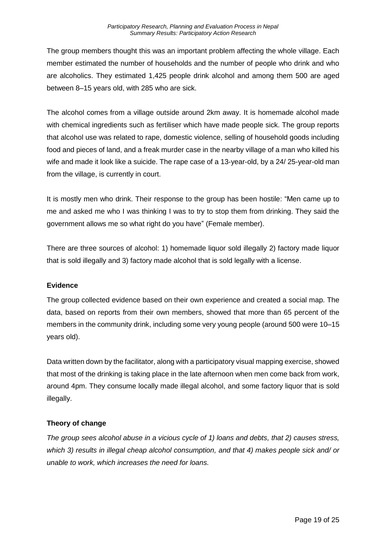The group members thought this was an important problem affecting the whole village. Each member estimated the number of households and the number of people who drink and who are alcoholics. They estimated 1,425 people drink alcohol and among them 500 are aged between 8–15 years old, with 285 who are sick.

The alcohol comes from a village outside around 2km away. It is homemade alcohol made with chemical ingredients such as fertiliser which have made people sick. The group reports that alcohol use was related to rape, domestic violence, selling of household goods including food and pieces of land, and a freak murder case in the nearby village of a man who killed his wife and made it look like a suicide. The rape case of a 13-year-old, by a 24/ 25-year-old man from the village, is currently in court.

It is mostly men who drink. Their response to the group has been hostile: "Men came up to me and asked me who I was thinking I was to try to stop them from drinking. They said the government allows me so what right do you have" (Female member).

There are three sources of alcohol: 1) homemade liquor sold illegally 2) factory made liquor that is sold illegally and 3) factory made alcohol that is sold legally with a license.

## **Evidence**

The group collected evidence based on their own experience and created a social map. The data, based on reports from their own members, showed that more than 65 percent of the members in the community drink, including some very young people (around 500 were 10–15 years old).

Data written down by the facilitator, along with a participatory visual mapping exercise, showed that most of the drinking is taking place in the late afternoon when men come back from work, around 4pm. They consume locally made illegal alcohol, and some factory liquor that is sold illegally.

## **Theory of change**

*The group sees alcohol abuse in a vicious cycle of 1) loans and debts, that 2) causes stress, which 3) results in illegal cheap alcohol consumption, and that 4) makes people sick and/ or unable to work, which increases the need for loans.*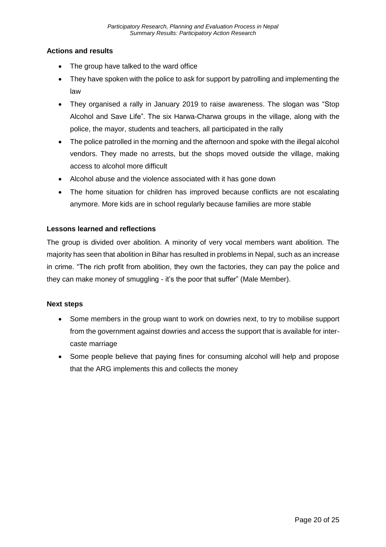### **Actions and results**

- The group have talked to the ward office
- They have spoken with the police to ask for support by patrolling and implementing the law
- They organised a rally in January 2019 to raise awareness. The slogan was "Stop Alcohol and Save Life". The six Harwa-Charwa groups in the village, along with the police, the mayor, students and teachers, all participated in the rally
- The police patrolled in the morning and the afternoon and spoke with the illegal alcohol vendors. They made no arrests, but the shops moved outside the village, making access to alcohol more difficult
- Alcohol abuse and the violence associated with it has gone down
- The home situation for children has improved because conflicts are not escalating anymore. More kids are in school regularly because families are more stable

#### **Lessons learned and reflections**

The group is divided over abolition. A minority of very vocal members want abolition. The majority has seen that abolition in Bihar has resulted in problems in Nepal, such as an increase in crime. "The rich profit from abolition, they own the factories, they can pay the police and they can make money of smuggling - it's the poor that suffer" (Male Member).

#### **Next steps**

- Some members in the group want to work on dowries next, to try to mobilise support from the government against dowries and access the support that is available for intercaste marriage
- Some people believe that paying fines for consuming alcohol will help and propose that the ARG implements this and collects the money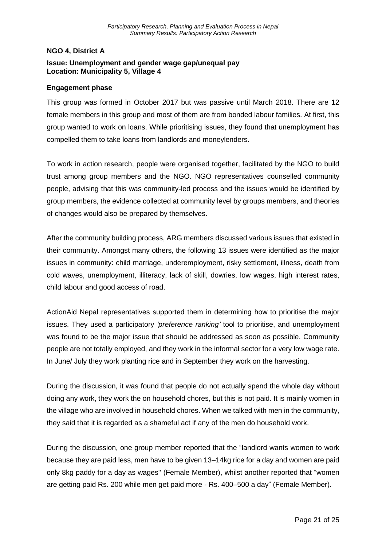#### <span id="page-20-0"></span>**NGO 4, District A**

### **Issue: Unemployment and gender wage gap/unequal pay Location: Municipality 5, Village 4**

#### **Engagement phase**

This group was formed in October 2017 but was passive until March 2018. There are 12 female members in this group and most of them are from bonded labour families. At first, this group wanted to work on loans. While prioritising issues, they found that unemployment has compelled them to take loans from landlords and moneylenders.

To work in action research, people were organised together, facilitated by the NGO to build trust among group members and the NGO. NGO representatives counselled community people, advising that this was community-led process and the issues would be identified by group members, the evidence collected at community level by groups members, and theories of changes would also be prepared by themselves.

After the community building process, ARG members discussed various issues that existed in their community. Amongst many others, the following 13 issues were identified as the major issues in community: child marriage, underemployment, risky settlement, illness, death from cold waves, unemployment, illiteracy, lack of skill, dowries, low wages, high interest rates, child labour and good access of road.

ActionAid Nepal representatives supported them in determining how to prioritise the major issues. They used a participatory *'preference ranking'* tool to prioritise, and unemployment was found to be the major issue that should be addressed as soon as possible. Community people are not totally employed, and they work in the informal sector for a very low wage rate. In June/ July they work planting rice and in September they work on the harvesting.

During the discussion, it was found that people do not actually spend the whole day without doing any work, they work the on household chores, but this is not paid. It is mainly women in the village who are involved in household chores. When we talked with men in the community, they said that it is regarded as a shameful act if any of the men do household work.

During the discussion, one group member reported that the "landlord wants women to work because they are paid less, men have to be given 13–14kg rice for a day and women are paid only 8kg paddy for a day as wages'' (Female Member), whilst another reported that "women are getting paid Rs. 200 while men get paid more - Rs. 400–500 a day" (Female Member).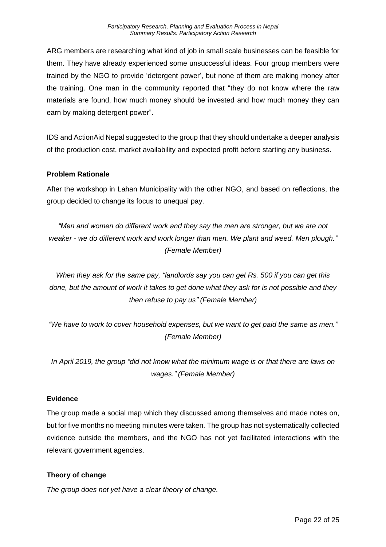ARG members are researching what kind of job in small scale businesses can be feasible for them. They have already experienced some unsuccessful ideas. Four group members were trained by the NGO to provide 'detergent power', but none of them are making money after the training. One man in the community reported that "they do not know where the raw materials are found, how much money should be invested and how much money they can earn by making detergent power".

IDS and ActionAid Nepal suggested to the group that they should undertake a deeper analysis of the production cost, market availability and expected profit before starting any business.

#### **Problem Rationale**

After the workshop in Lahan Municipality with the other NGO, and based on reflections, the group decided to change its focus to unequal pay.

*"Men and women do different work and they say the men are stronger, but we are not weaker - we do different work and work longer than men. We plant and weed. Men plough." (Female Member)*

*When they ask for the same pay, "landlords say you can get Rs. 500 if you can get this done, but the amount of work it takes to get done what they ask for is not possible and they then refuse to pay us" (Female Member)*

*"We have to work to cover household expenses, but we want to get paid the same as men." (Female Member)*

*In April 2019, the group "did not know what the minimum wage is or that there are laws on wages." (Female Member)*

#### **Evidence**

The group made a social map which they discussed among themselves and made notes on, but for five months no meeting minutes were taken. The group has not systematically collected evidence outside the members, and the NGO has not yet facilitated interactions with the relevant government agencies.

## **Theory of change**

*The group does not yet have a clear theory of change.*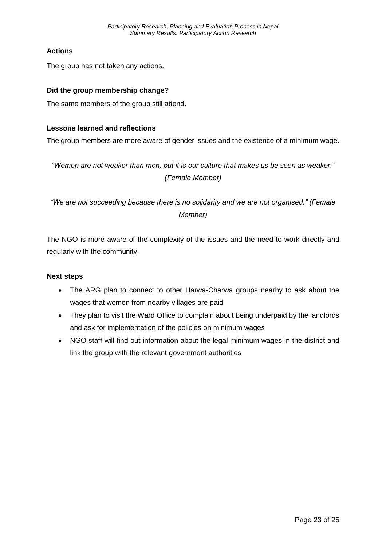## **Actions**

The group has not taken any actions.

### **Did the group membership change?**

The same members of the group still attend.

#### **Lessons learned and reflections**

The group members are more aware of gender issues and the existence of a minimum wage.

*"Women are not weaker than men, but it is our culture that makes us be seen as weaker." (Female Member)*

*"We are not succeeding because there is no solidarity and we are not organised." (Female Member)*

The NGO is more aware of the complexity of the issues and the need to work directly and regularly with the community.

#### **Next steps**

- The ARG plan to connect to other Harwa-Charwa groups nearby to ask about the wages that women from nearby villages are paid
- They plan to visit the Ward Office to complain about being underpaid by the landlords and ask for implementation of the policies on minimum wages
- NGO staff will find out information about the legal minimum wages in the district and link the group with the relevant government authorities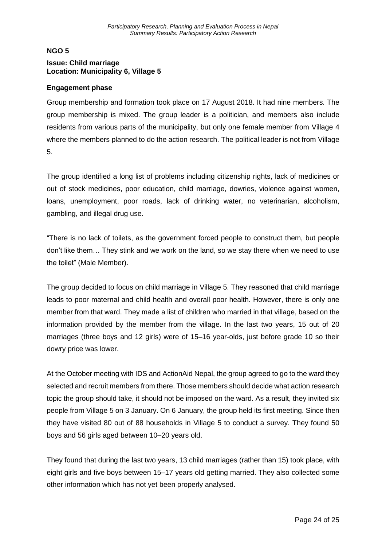## <span id="page-23-0"></span>**NGO 5 Issue: Child marriage Location: Municipality 6, Village 5**

#### **Engagement phase**

Group membership and formation took place on 17 August 2018. It had nine members. The group membership is mixed. The group leader is a politician, and members also include residents from various parts of the municipality, but only one female member from Village 4 where the members planned to do the action research. The political leader is not from Village 5.

The group identified a long list of problems including citizenship rights, lack of medicines or out of stock medicines, poor education, child marriage, dowries, violence against women, loans, unemployment, poor roads, lack of drinking water, no veterinarian, alcoholism, gambling, and illegal drug use.

"There is no lack of toilets, as the government forced people to construct them, but people don't like them… They stink and we work on the land, so we stay there when we need to use the toilet" (Male Member).

The group decided to focus on child marriage in Village 5. They reasoned that child marriage leads to poor maternal and child health and overall poor health. However, there is only one member from that ward. They made a list of children who married in that village, based on the information provided by the member from the village. In the last two years, 15 out of 20 marriages (three boys and 12 girls) were of 15–16 year-olds, just before grade 10 so their dowry price was lower.

At the October meeting with IDS and ActionAid Nepal, the group agreed to go to the ward they selected and recruit members from there. Those members should decide what action research topic the group should take, it should not be imposed on the ward. As a result, they invited six people from Village 5 on 3 January. On 6 January, the group held its first meeting. Since then they have visited 80 out of 88 households in Village 5 to conduct a survey. They found 50 boys and 56 girls aged between 10–20 years old.

They found that during the last two years, 13 child marriages (rather than 15) took place, with eight girls and five boys between 15–17 years old getting married. They also collected some other information which has not yet been properly analysed.